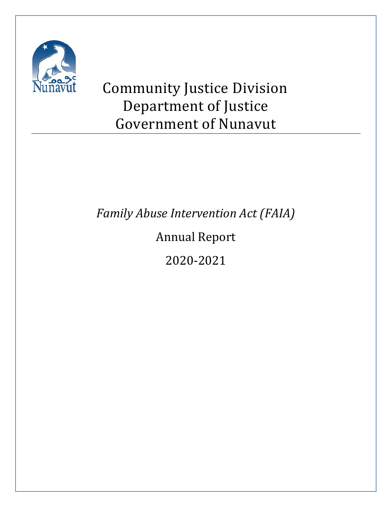

# Community Justice Division Department of Justice Government of Nunavut

*Family Abuse Intervention Act (FAIA)*

Annual Report

2020-2021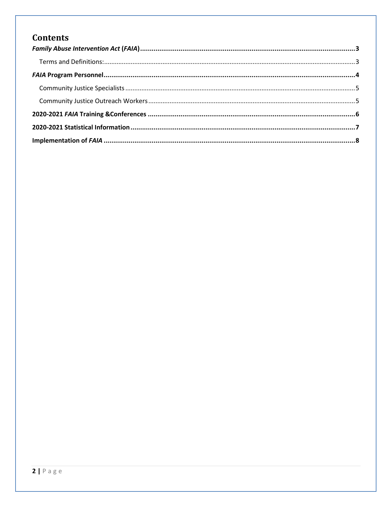# **Contents**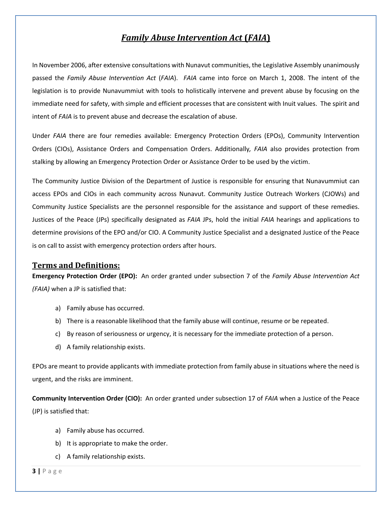## *Family Abuse Intervention Act* **(***FAIA***)**

<span id="page-2-0"></span>In November 2006, after extensive consultations with Nunavut communities, the Legislative Assembly unanimously passed the *Family Abuse Intervention Act* (*FAIA*). *FAIA* came into force on March 1, 2008. The intent of the legislation is to provide Nunavummiut with tools to holistically intervene and prevent abuse by focusing on the immediate need for safety, with simple and efficient processes that are consistent with Inuit values. The spirit and intent of *FAIA* is to prevent abuse and decrease the escalation of abuse.

Under *FAIA* there are four remedies available: Emergency Protection Orders (EPOs), Community Intervention Orders (CIOs), Assistance Orders and Compensation Orders. Additionally*, FAIA* also provides protection from stalking by allowing an Emergency Protection Order or Assistance Order to be used by the victim.

The Community Justice Division of the Department of Justice is responsible for ensuring that Nunavummiut can access EPOs and CIOs in each community across Nunavut. Community Justice Outreach Workers (CJOWs) and Community Justice Specialists are the personnel responsible for the assistance and support of these remedies. Justices of the Peace (JPs) specifically designated as *FAIA* JPs, hold the initial *FAIA* hearings and applications to determine provisions of the EPO and/or CIO. A Community Justice Specialist and a designated Justice of the Peace is on call to assist with emergency protection orders after hours.

#### <span id="page-2-1"></span>**Terms and Definitions:**

**Emergency Protection Order (EPO):** An order granted under subsection 7 of the *Family Abuse Intervention Act (FAIA)* when a JP is satisfied that:

- a) Family abuse has occurred.
- b) There is a reasonable likelihood that the family abuse will continue, resume or be repeated.
- c) By reason of seriousness or urgency, it is necessary for the immediate protection of a person.
- d) A family relationship exists.

EPOs are meant to provide applicants with immediate protection from family abuse in situations where the need is urgent, and the risks are imminent.

**Community Intervention Order (CIO):** An order granted under subsection 17 of *FAIA* when a Justice of the Peace (JP) is satisfied that:

- a) Family abuse has occurred.
- b) It is appropriate to make the order.
- c) A family relationship exists.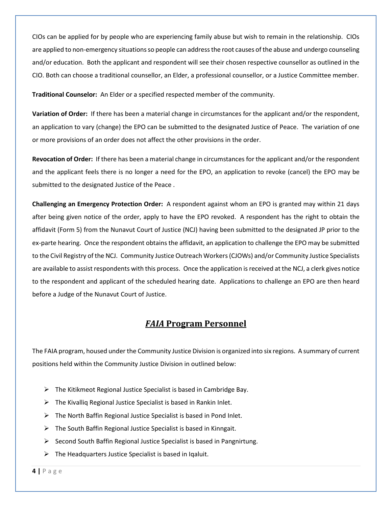CIOs can be applied for by people who are experiencing family abuse but wish to remain in the relationship. CIOs are applied to non-emergency situations so people can address the root causes of the abuse and undergo counseling and/or education. Both the applicant and respondent will see their chosen respective counsellor as outlined in the CIO. Both can choose a traditional counsellor, an Elder, a professional counsellor, or a Justice Committee member.

**Traditional Counselor:** An Elder or a specified respected member of the community.

**Variation of Order:** If there has been a material change in circumstances for the applicant and/or the respondent, an application to vary (change) the EPO can be submitted to the designated Justice of Peace. The variation of one or more provisions of an order does not affect the other provisions in the order.

**Revocation of Order:** If there has been a material change in circumstances for the applicant and/or the respondent and the applicant feels there is no longer a need for the EPO, an application to revoke (cancel) the EPO may be submitted to the designated Justice of the Peace .

**Challenging an Emergency Protection Order:** A respondent against whom an EPO is granted may within 21 days after being given notice of the order, apply to have the EPO revoked. A respondent has the right to obtain the affidavit (Form 5) from the Nunavut Court of Justice (NCJ) having been submitted to the designated JP prior to the ex-parte hearing. Once the respondent obtains the affidavit, an application to challenge the EPO may be submitted to the Civil Registry of the NCJ. Community Justice Outreach Workers(CJOWs) and/or Community Justice Specialists are available to assist respondents with this process. Once the application is received at the NCJ, a clerk gives notice to the respondent and applicant of the scheduled hearing date. Applications to challenge an EPO are then heard before a Judge of the Nunavut Court of Justice.

#### *FAIA* **Program Personnel**

<span id="page-3-0"></span>The FAIA program, housed under the Community Justice Division is organized into six regions. A summary of current positions held within the Community Justice Division in outlined below:

- $\triangleright$  The Kitikmeot Regional Justice Specialist is based in Cambridge Bay.
- $\triangleright$  The Kivallig Regional Justice Specialist is based in Rankin Inlet.
- $\triangleright$  The North Baffin Regional Justice Specialist is based in Pond Inlet.
- $\triangleright$  The South Baffin Regional Justice Specialist is based in Kinngait.
- ➢ Second South Baffin Regional Justice Specialist is based in Pangnirtung.
- $\triangleright$  The Headquarters Justice Specialist is based in Iqaluit.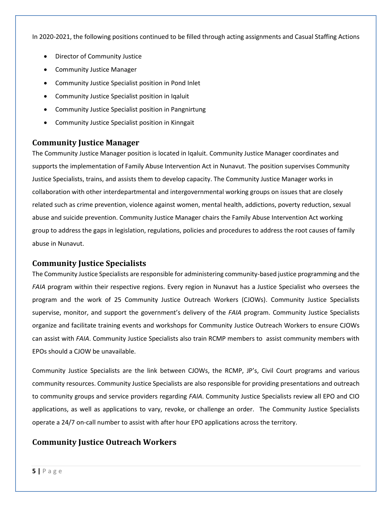In 2020-2021, the following positions continued to be filled through acting assignments and Casual Staffing Actions

- Director of Community Justice
- Community Justice Manager
- Community Justice Specialist position in Pond Inlet
- Community Justice Specialist position in Iqaluit
- Community Justice Specialist position in Pangnirtung
- <span id="page-4-0"></span>• Community Justice Specialist position in Kinngait

#### **Community Justice Manager**

The Community Justice Manager position is located in Iqaluit. Community Justice Manager coordinates and supports the implementation of Family Abuse Intervention Act in Nunavut. The position supervises Community Justice Specialists, trains, and assists them to develop capacity. The Community Justice Manager works in collaboration with other interdepartmental and intergovernmental working groups on issues that are closely related such as crime prevention, violence against women, mental health, addictions, poverty reduction, sexual abuse and suicide prevention. Community Justice Manager chairs the Family Abuse Intervention Act working group to address the gaps in legislation, regulations, policies and procedures to address the root causes of family abuse in Nunavut.

#### **Community Justice Specialists**

The Community Justice Specialists are responsible for administering community-based justice programming and the *FAIA* program within their respective regions. Every region in Nunavut has a Justice Specialist who oversees the program and the work of 25 Community Justice Outreach Workers (CJOWs). Community Justice Specialists supervise, monitor, and support the government's delivery of the *FAIA* program. Community Justice Specialists organize and facilitate training events and workshops for Community Justice Outreach Workers to ensure CJOWs can assist with *FAIA*. Community Justice Specialists also train RCMP members to assist community members with EPOs should a CJOW be unavailable.

Community Justice Specialists are the link between CJOWs, the RCMP, JP's, Civil Court programs and various community resources. Community Justice Specialists are also responsible for providing presentations and outreach to community groups and service providers regarding *FAIA*. Community Justice Specialists review all EPO and CIO applications, as well as applications to vary, revoke, or challenge an order. The Community Justice Specialists operate a 24/7 on-call number to assist with after hour EPO applications across the territory.

#### <span id="page-4-1"></span>**Community Justice Outreach Workers**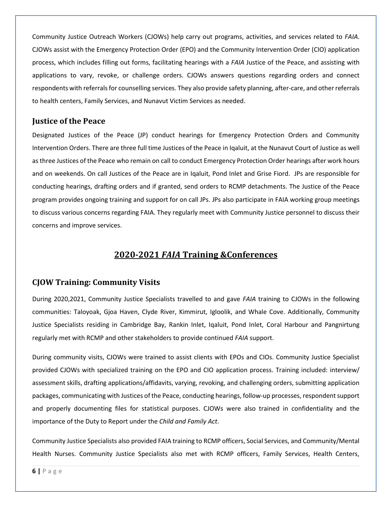Community Justice Outreach Workers (CJOWs) help carry out programs, activities, and services related to *FAIA*. CJOWs assist with the Emergency Protection Order (EPO) and the Community Intervention Order (CIO) application process, which includes filling out forms, facilitating hearings with a *FAIA* Justice of the Peace, and assisting with applications to vary, revoke, or challenge orders. CJOWs answers questions regarding orders and connect respondents with referrals for counselling services. They also provide safety planning, after-care, and other referrals to health centers, Family Services, and Nunavut Victim Services as needed.

#### **Justice of the Peace**

Designated Justices of the Peace (JP) conduct hearings for Emergency Protection Orders and Community Intervention Orders. There are three full time Justices of the Peace in Iqaluit, at the Nunavut Court of Justice as well as three Justices of the Peace who remain on call to conduct Emergency Protection Order hearings after work hours and on weekends. On call Justices of the Peace are in Iqaluit, Pond Inlet and Grise Fiord. JPs are responsible for conducting hearings, drafting orders and if granted, send orders to RCMP detachments. The Justice of the Peace program provides ongoing training and support for on call JPs. JPs also participate in FAIA working group meetings to discuss various concerns regarding FAIA. They regularly meet with Community Justice personnel to discuss their concerns and improve services.

## **2020-2021** *FAIA* **Training &Conferences**

#### <span id="page-5-0"></span>**CJOW Training: Community Visits**

During 2020,2021, Community Justice Specialists travelled to and gave *FAIA* training to CJOWs in the following communities: Taloyoak, Gjoa Haven, Clyde River, Kimmirut, Igloolik, and Whale Cove. Additionally, Community Justice Specialists residing in Cambridge Bay, Rankin Inlet, Iqaluit, Pond Inlet, Coral Harbour and Pangnirtung regularly met with RCMP and other stakeholders to provide continued *FAIA* support.

During community visits, CJOWs were trained to assist clients with EPOs and CIOs. Community Justice Specialist provided CJOWs with specialized training on the EPO and CIO application process. Training included: interview/ assessment skills, drafting applications/affidavits, varying, revoking, and challenging orders, submitting application packages, communicating with Justices of the Peace, conducting hearings, follow-up processes, respondent support and properly documenting files for statistical purposes. CJOWs were also trained in confidentiality and the importance of the Duty to Report under the *Child and Family Act*.

Community Justice Specialists also provided FAIA training to RCMP officers, Social Services, and Community/Mental Health Nurses. Community Justice Specialists also met with RCMP officers, Family Services, Health Centers,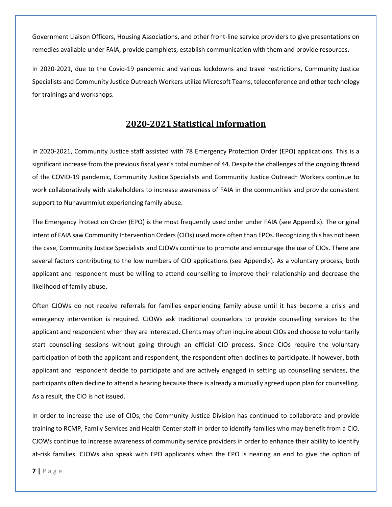Government Liaison Officers, Housing Associations, and other front-line service providers to give presentations on remedies available under FAIA, provide pamphlets, establish communication with them and provide resources.

In 2020-2021, due to the Covid-19 pandemic and various lockdowns and travel restrictions, Community Justice Specialists and Community Justice Outreach Workers utilize Microsoft Teams, teleconference and other technology for trainings and workshops.

### **2020-2021 Statistical Information**

<span id="page-6-0"></span>In 2020-2021, Community Justice staff assisted with 78 Emergency Protection Order (EPO) applications. This is a significant increase from the previous fiscal year's total number of 44. Despite the challenges of the ongoing thread of the COVID-19 pandemic, Community Justice Specialists and Community Justice Outreach Workers continue to work collaboratively with stakeholders to increase awareness of FAIA in the communities and provide consistent support to Nunavummiut experiencing family abuse.

The Emergency Protection Order (EPO) is the most frequently used order under FAIA (see Appendix). The original intent of FAIA saw Community Intervention Orders (CIOs) used more often than EPOs. Recognizing this has not been the case, Community Justice Specialists and CJOWs continue to promote and encourage the use of CIOs. There are several factors contributing to the low numbers of CIO applications (see Appendix). As a voluntary process, both applicant and respondent must be willing to attend counselling to improve their relationship and decrease the likelihood of family abuse.

Often CJOWs do not receive referrals for families experiencing family abuse until it has become a crisis and emergency intervention is required. CJOWs ask traditional counselors to provide counselling services to the applicant and respondent when they are interested. Clients may often inquire about CIOs and choose to voluntarily start counselling sessions without going through an official CIO process. Since CIOs require the voluntary participation of both the applicant and respondent, the respondent often declines to participate. If however, both applicant and respondent decide to participate and are actively engaged in setting up counselling services, the participants often decline to attend a hearing because there is already a mutually agreed upon plan for counselling. As a result, the CIO is not issued.

In order to increase the use of CIOs, the Community Justice Division has continued to collaborate and provide training to RCMP, Family Services and Health Center staff in order to identify families who may benefit from a CIO. CJOWs continue to increase awareness of community service providers in order to enhance their ability to identify at-risk families. CJOWs also speak with EPO applicants when the EPO is nearing an end to give the option of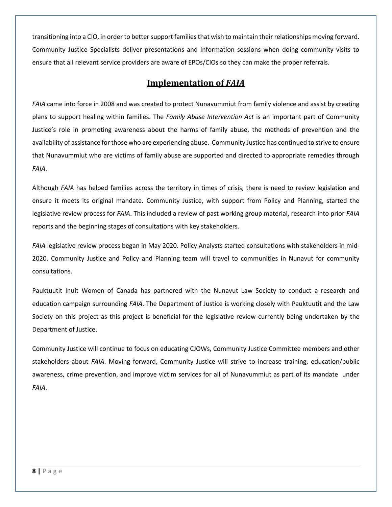transitioning into a CIO, in order to better support families that wish to maintain their relationships moving forward. Community Justice Specialists deliver presentations and information sessions when doing community visits to ensure that all relevant service providers are aware of EPOs/CIOs so they can make the proper referrals.

#### **Implementation of** *FAIA*

<span id="page-7-0"></span>*FAIA* came into force in 2008 and was created to protect Nunavummiut from family violence and assist by creating plans to support healing within families. The *Family Abuse Intervention Act* is an important part of Community Justice's role in promoting awareness about the harms of family abuse, the methods of prevention and the availability of assistance for those who are experiencing abuse. Community Justice has continued to strive to ensure that Nunavummiut who are victims of family abuse are supported and directed to appropriate remedies through *FAIA*.

Although *FAIA* has helped families across the territory in times of crisis, there is need to review legislation and ensure it meets its original mandate. Community Justice, with support from Policy and Planning, started the legislative review process for *FAIA*. This included a review of past working group material, research into prior *FAIA* reports and the beginning stages of consultations with key stakeholders.

*FAIA* legislative review process began in May 2020. Policy Analysts started consultations with stakeholders in mid-2020. Community Justice and Policy and Planning team will travel to communities in Nunavut for community consultations.

Pauktuutit Inuit Women of Canada has partnered with the Nunavut Law Society to conduct a research and education campaign surrounding *FAIA*. The Department of Justice is working closely with Pauktuutit and the Law Society on this project as this project is beneficial for the legislative review currently being undertaken by the Department of Justice.

Community Justice will continue to focus on educating CJOWs, Community Justice Committee members and other stakeholders about *FAIA*. Moving forward, Community Justice will strive to increase training, education/public awareness, crime prevention, and improve victim services for all of Nunavummiut as part of its mandate under *FAIA*.